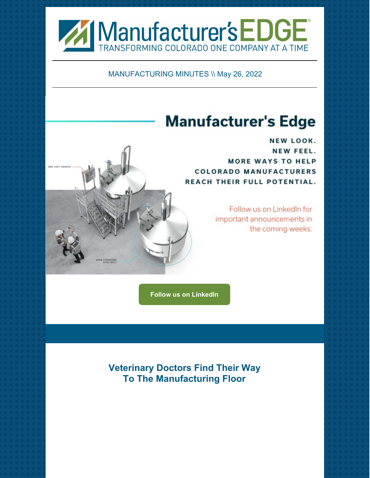

MANUFACTURING MINUTES \\ May 26, 2022

## **Manufacturer's Edge**

NEW LOOK. NEW FEEL. **MORE WAYS TO HELP COLORADO MANUFACTURERS** REACH THEIR FULL POTENTIAL.

> Follow us on LinkedIn for important announcements in the coming weeks.

**Follow us on [LinkedIn](https://www.linkedin.com/company/manufacturers-edge)**

**Veterinary Doctors Find Their Way To The Manufacturing Floor**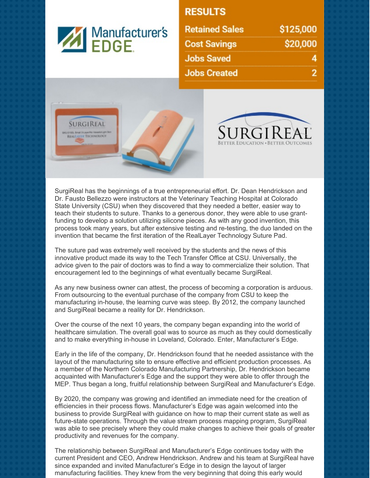

## **RESULTS**

| <b>Retained Sales</b> | \$125,000 |
|-----------------------|-----------|
| <b>Cost Savings</b>   | \$20,000  |
| <b>Jobs Saved</b>     |           |
| <b>Jobs Created</b>   |           |





SurgiReal has the beginnings of a true entrepreneurial effort. Dr. Dean Hendrickson and Dr. Fausto Bellezzo were instructors at the Veterinary Teaching Hospital at Colorado State University (CSU) when they discovered that they needed a better, easier way to teach their students to suture. Thanks to a generous donor, they were able to use grantfunding to develop a solution utilizing silicone pieces. As with any good invention, this process took many years, but after extensive testing and re-testing, the duo landed on the invention that became the first iteration of the RealLayer Technology Suture Pad.

The suture pad was extremely well received by the students and the news of this innovative product made its way to the Tech Transfer Office at CSU. Universally, the advice given to the pair of doctors was to find a way to commercialize their solution. That encouragement led to the beginnings of what eventually became SurgiReal.

As any new business owner can attest, the process of becoming a corporation is arduous. From outsourcing to the eventual purchase of the company from CSU to keep the manufacturing in-house, the learning curve was steep. By 2012, the company launched and SurgiReal became a reality for Dr. Hendrickson.

Over the course of the next 10 years, the company began expanding into the world of healthcare simulation. The overall goal was to source as much as they could domestically and to make everything in-house in Loveland, Colorado. Enter, Manufacturer's Edge.

Early in the life of the company, Dr. Hendrickson found that he needed assistance with the layout of the manufacturing site to ensure effective and efficient production processes. As a member of the Northern Colorado Manufacturing Partnership, Dr. Hendrickson became acquainted with Manufacturer's Edge and the support they were able to offer through the MEP. Thus began a long, fruitful relationship between SurgiReal and Manufacturer's Edge.

By 2020, the company was growing and identified an immediate need for the creation of efficiencies in their process flows. Manufacturer's Edge was again welcomed into the business to provide SurgiReal with guidance on how to map their current state as well as future-state operations. Through the value stream process mapping program, SurgiReal was able to see precisely where they could make changes to achieve their goals of greater productivity and revenues for the company.

The relationship between SurgiReal and Manufacturer's Edge continues today with the current President and CEO, Andrew Hendrickson. Andrew and his team at SurgiReal have since expanded and invited Manufacturer's Edge in to design the layout of larger manufacturing facilities. They knew from the very beginning that doing this early would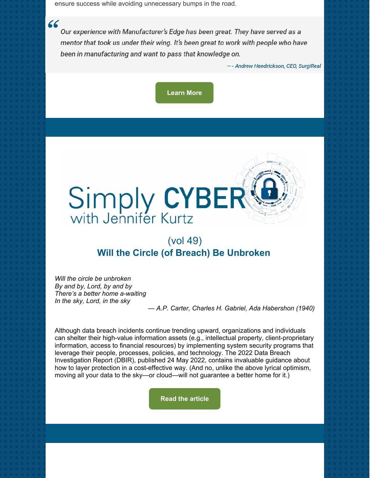ensure success while avoiding unnecessary bumps in the road.

 $66$ 

Our experience with Manufacturer's Edge has been great. They have served as a mentor that took us under their wing. It's been great to work with people who have been in manufacturing and want to pass that knowledge on.

-- Andrew Hendrickson, CEO, SurgiReal

**[Learn](https://manufacturersedge.com/success-story/veterinary-doctors-find-their-way-to-the-manufacturing-floor/) More**



## (vol 49) **Will the Circle (of Breach) Be Unbroken**

*Will the circle be unbroken By and by, Lord, by and by There's a better home a-waiting In the sky, Lord, in the sky*

*— A.P. Carter, Charles H. Gabriel, Ada Habershon (1940)*

Although data breach incidents continue trending upward, organizations and individuals can shelter their high-value information assets (e.g., intellectual property, client-proprietary information, access to financial resources) by implementing system security programs that leverage their people, processes, policies, and technology. The 2022 Data Breach Investigation Report (DBIR), published 24 May 2022, contains invaluable guidance about how to layer protection in a cost-effective way. (And no, unlike the above lyrical optimism, moving all your data to the sky—or cloud—will not guarantee a better home for it.)

**Read the [article](https://manufacturersedge.com/simply-cyber-vol-49-will-the-circle-of-breach-be-unbroken/)**